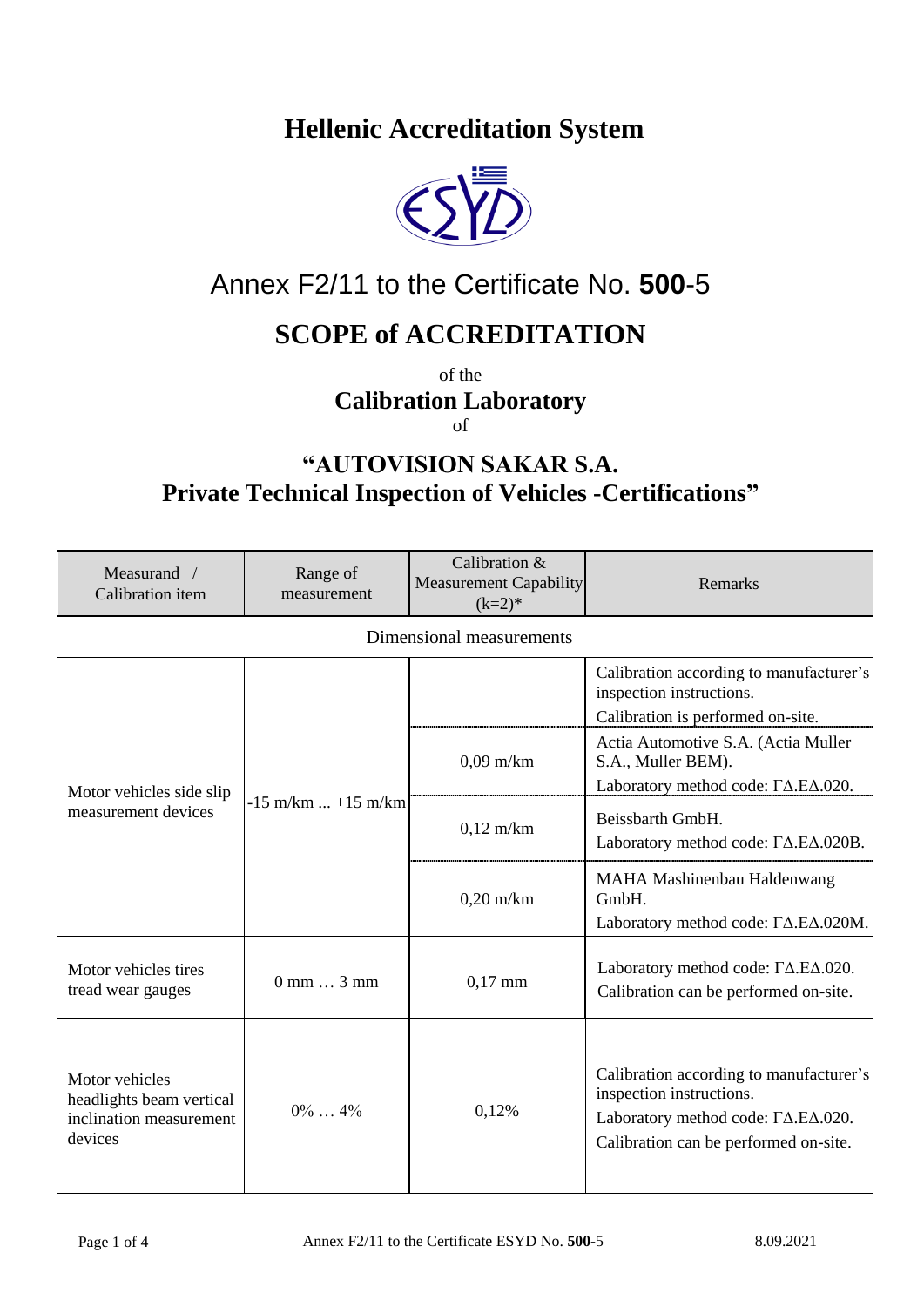**Hellenic Accreditation System**



## Annex F2/11 to the Certificate No. **500**-5

## **SCOPE of ACCREDITATION**

of the **Calibration Laboratory** of

## **"AUTOVISION SAKAR S.A. Private Technical Inspection of Vehicles -Certifications"**

| Measurand /<br>Calibration item                                                  | Range of<br>measurement           | Calibration &<br><b>Measurement Capability</b><br>$(k=2)*$ | Remarks                                                                                                                                                                  |  |  |  |  |
|----------------------------------------------------------------------------------|-----------------------------------|------------------------------------------------------------|--------------------------------------------------------------------------------------------------------------------------------------------------------------------------|--|--|--|--|
| Dimensional measurements                                                         |                                   |                                                            |                                                                                                                                                                          |  |  |  |  |
| Motor vehicles side slip<br>measurement devices                                  | $-15$ m/km $+15$ m/km             |                                                            | Calibration according to manufacturer's<br>inspection instructions.<br>Calibration is performed on-site.                                                                 |  |  |  |  |
|                                                                                  |                                   | $0.09$ m/km                                                | Actia Automotive S.A. (Actia Muller<br>S.A., Muller BEM).<br>Laboratory method code: $\Gamma\Delta$ .E $\Delta$ .020.                                                    |  |  |  |  |
|                                                                                  |                                   | $0,12$ m/km                                                | Beissbarth GmbH.<br>Laboratory method code: $\Gamma\Delta$ .E $\Delta$ .020B.                                                                                            |  |  |  |  |
|                                                                                  |                                   | $0,20$ m/km                                                | MAHA Mashinenbau Haldenwang<br>GmbH.<br>Laboratory method code: $\Gamma\Delta.E\Delta.020M$ .                                                                            |  |  |  |  |
| Motor vehicles tires<br>tread wear gauges                                        | $0 \text{ mm} \dots 3 \text{ mm}$ | $0,17$ mm                                                  | Laboratory method code: $\Gamma\Delta$ .E $\Delta$ .020.<br>Calibration can be performed on-site.                                                                        |  |  |  |  |
| Motor vehicles<br>headlights beam vertical<br>inclination measurement<br>devices | $0\%$ 4%                          | 0,12%                                                      | Calibration according to manufacturer's<br>inspection instructions.<br>Laboratory method code: $\Gamma\Delta$ .E $\Delta$ .020.<br>Calibration can be performed on-site. |  |  |  |  |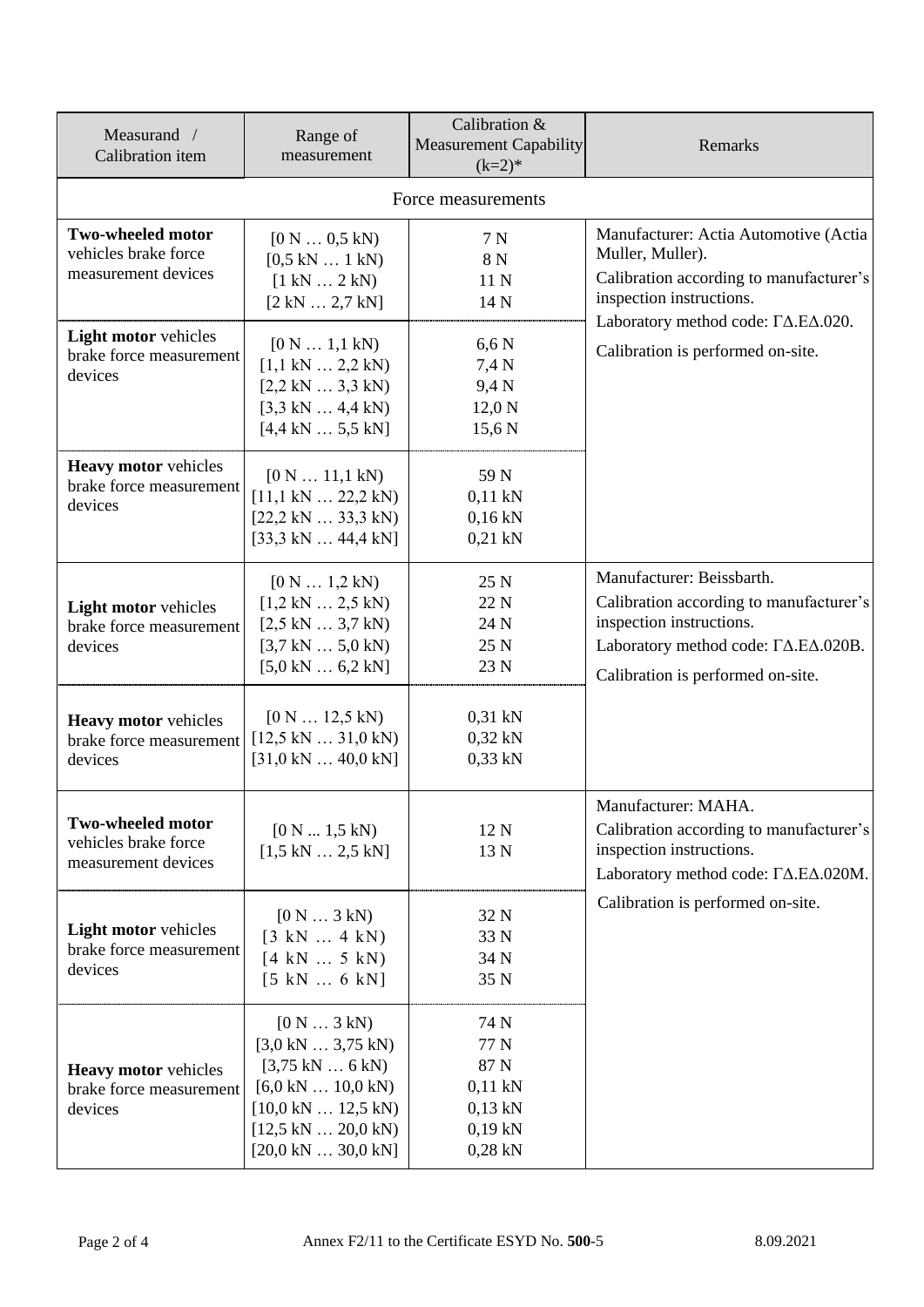| Measurand /<br>Calibration item                                   | Range of<br>measurement                                                                                                                                                                                                | Calibration &<br><b>Measurement Capability</b><br>$(k=2)*$               | Remarks                                                                                                                                                                                                                       |  |  |
|-------------------------------------------------------------------|------------------------------------------------------------------------------------------------------------------------------------------------------------------------------------------------------------------------|--------------------------------------------------------------------------|-------------------------------------------------------------------------------------------------------------------------------------------------------------------------------------------------------------------------------|--|--|
| Force measurements                                                |                                                                                                                                                                                                                        |                                                                          |                                                                                                                                                                                                                               |  |  |
| Two-wheeled motor<br>vehicles brake force<br>measurement devices  | [0 N  0.5 kN)<br>[0,5 kN  1 kN)<br>[1 kN  2 kN)<br>[2 kN  2,7 kN]                                                                                                                                                      | 7 N<br>8 N<br>11 N<br>14 N                                               | Manufacturer: Actia Automotive (Actia<br>Muller, Muller).<br>Calibration according to manufacturer's<br>inspection instructions.<br>Laboratory method code: $\Gamma\Delta.E\Delta.020$ .<br>Calibration is performed on-site. |  |  |
| Light motor vehicles<br>brake force measurement<br>devices        | [0 N  1, 1 kN)<br>[1,1 kN  2,2 kN)<br>[2,2 kN  3,3 kN)<br>$[3,3 kN \dots 4,4 kN)$<br>[4,4 kN 5,5 kN]                                                                                                                   | $6,6 \text{ N}$<br>7,4 N<br>9,4 N<br>$12,0\text{ N}$<br>15,6 N           |                                                                                                                                                                                                                               |  |  |
| <b>Heavy motor vehicles</b><br>brake force measurement<br>devices | [0 N  11, 1 kN)<br>$[11,1 kN \dots 22,2 kN)$<br>$[22,2 kN \dots 33,3 kN]$<br>$[33,3 kN \dots 44,4 kN]$                                                                                                                 | 59 N<br>$0,11$ kN<br>$0,16$ kN<br>$0,21$ kN                              |                                                                                                                                                                                                                               |  |  |
| Light motor vehicles<br>brake force measurement<br>devices        | $[0 \text{ N} \dots 1, 2 \text{ kN})$<br>[1,2 kN  2,5 kN)<br>[2,5 kN  3,7 kN)<br>$[3,7 kN \dots 5,0 kN)$<br>$[5,0 \text{ kN} \dots 6,2 \text{ kN}]$                                                                    | 25 N<br>22 N<br>24 N<br>25 N<br>23 N                                     | Manufacturer: Beissbarth.<br>Calibration according to manufacturer's<br>inspection instructions.<br>Laboratory method code: $\Gamma\Delta.E\Delta.020B$ .<br>Calibration is performed on-site.                                |  |  |
| <b>Heavy motor vehicles</b><br>brake force measurement<br>devices | $[0 \text{ N} \dots 12, 5 \text{ kN})$<br>$[12,5 kN \dots 31,0 kN]$<br>$[31,0 kN \dots 40,0 kN]$                                                                                                                       | $0,31$ kN<br>$0,32$ kN<br>$0,33$ kN                                      |                                                                                                                                                                                                                               |  |  |
| Two-wheeled motor<br>vehicles brake force<br>measurement devices  | [0 N  1, 5 kN)<br>[1,5 kN  2,5 kN]                                                                                                                                                                                     | 12 N<br>13 N                                                             | Manufacturer: MAHA.<br>Calibration according to manufacturer's<br>inspection instructions.<br>Laboratory method code: $\Gamma\Delta$ .E $\Delta$ .020M.                                                                       |  |  |
| <b>Light motor vehicles</b><br>brake force measurement<br>devices | [0 N  3 kN)<br>[3 kN  4 kN)<br>[4 kN  5 kN)<br>[5 kN  6 kN]                                                                                                                                                            | 32 N<br>33 N<br>34 N<br>35 N                                             | Calibration is performed on-site.                                                                                                                                                                                             |  |  |
| <b>Heavy motor vehicles</b><br>brake force measurement<br>devices | [0 N  3 kN)<br>[3,0 kN  3,75 kN]<br>$[3,75 \text{ kN} \dots 6 \text{ kN})$<br>$[6,0 \text{ kN} \dots 10,0 \text{ kN})$<br>$[10,0 \text{ kN} \dots 12,5 \text{ kN})$<br>$[12,5 kN \dots 20,0 kN]$<br>[20,0 kN  30,0 kN] | 74 N<br>77 N<br>87 N<br>$0,11$ kN<br>$0,13$ kN<br>$0,19$ kN<br>$0,28$ kN |                                                                                                                                                                                                                               |  |  |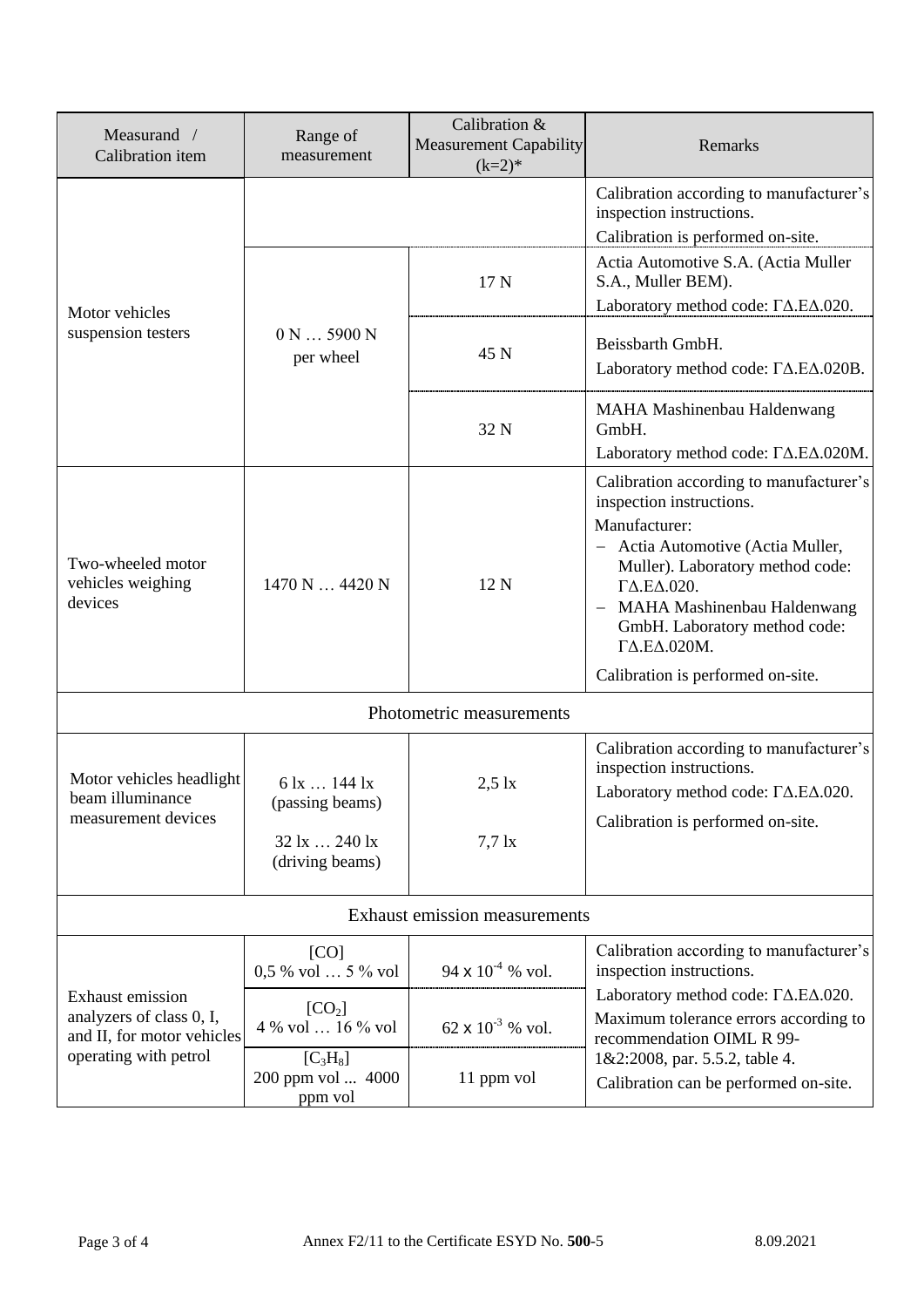| Measurand /<br>Calibration item                                                                     | Range of<br>measurement                                                                                           | Calibration &<br><b>Measurement Capability</b><br>$(k=2)*$ | Remarks                                                                                                                                                                                                                                                                                                                            |  |  |  |
|-----------------------------------------------------------------------------------------------------|-------------------------------------------------------------------------------------------------------------------|------------------------------------------------------------|------------------------------------------------------------------------------------------------------------------------------------------------------------------------------------------------------------------------------------------------------------------------------------------------------------------------------------|--|--|--|
| Motor vehicles<br>suspension testers                                                                |                                                                                                                   |                                                            | Calibration according to manufacturer's<br>inspection instructions.<br>Calibration is performed on-site.                                                                                                                                                                                                                           |  |  |  |
|                                                                                                     | 0 N  5900 N<br>per wheel                                                                                          | 17 N                                                       | Actia Automotive S.A. (Actia Muller<br>S.A., Muller BEM).<br>Laboratory method code: $\Gamma\Delta.E\Delta.020$ .                                                                                                                                                                                                                  |  |  |  |
|                                                                                                     |                                                                                                                   | 45 N                                                       | Beissbarth GmbH.<br>Laboratory method code: $\Gamma\Delta$ .E $\Delta$ .020B.                                                                                                                                                                                                                                                      |  |  |  |
|                                                                                                     |                                                                                                                   | 32 N                                                       | MAHA Mashinenbau Haldenwang<br>GmbH.<br>Laboratory method code: $\Gamma\Delta$ .E $\Delta$ .020M.                                                                                                                                                                                                                                  |  |  |  |
| Two-wheeled motor<br>vehicles weighing<br>devices                                                   | 1470 N  4420 N                                                                                                    | 12 N                                                       | Calibration according to manufacturer's<br>inspection instructions.<br>Manufacturer:<br>- Actia Automotive (Actia Muller,<br>Muller). Laboratory method code:<br>$\Gamma\Delta.E\Delta.020.$<br>MAHA Mashinenbau Haldenwang<br>GmbH. Laboratory method code:<br>$\Gamma\Delta.E\Delta.020M$ .<br>Calibration is performed on-site. |  |  |  |
| Photometric measurements                                                                            |                                                                                                                   |                                                            |                                                                                                                                                                                                                                                                                                                                    |  |  |  |
| Motor vehicles headlight<br>beam illuminance<br>measurement devices                                 | $6 \text{ lx} \dots 144 \text{ lx}$<br>(passing beams)<br>$32 \text{ lx} \dots 240 \text{ lx}$<br>(driving beams) | $2,5$ lx<br>$7,7$ $\rm{lx}$                                | Calibration according to manufacturer's<br>inspection instructions.<br>Laboratory method code: $\Gamma\Delta.E\Delta.020$ .<br>Calibration is performed on-site.                                                                                                                                                                   |  |  |  |
| <b>Exhaust emission measurements</b>                                                                |                                                                                                                   |                                                            |                                                                                                                                                                                                                                                                                                                                    |  |  |  |
| Exhaust emission<br>analyzers of class 0, I,<br>and II, for motor vehicles<br>operating with petrol | [CO]<br>0,5 % vol  5 % vol                                                                                        | 94 $\times$ 10 <sup>-4</sup> % vol.                        | Calibration according to manufacturer's<br>inspection instructions.                                                                                                                                                                                                                                                                |  |  |  |
|                                                                                                     | [CO <sub>2</sub> ]<br>4 % vol  16 % vol                                                                           | 62 x $10^{-3}$ % vol.                                      | Laboratory method code: $\Gamma\Delta$ .E $\Delta$ .020.<br>Maximum tolerance errors according to<br>recommendation OIML R 99-                                                                                                                                                                                                     |  |  |  |
|                                                                                                     | [C <sub>3</sub> H <sub>8</sub> ]<br>200 ppm vol  4000<br>ppm vol                                                  | 11 ppm vol                                                 | 1&2:2008, par. 5.5.2, table 4.<br>Calibration can be performed on-site.                                                                                                                                                                                                                                                            |  |  |  |